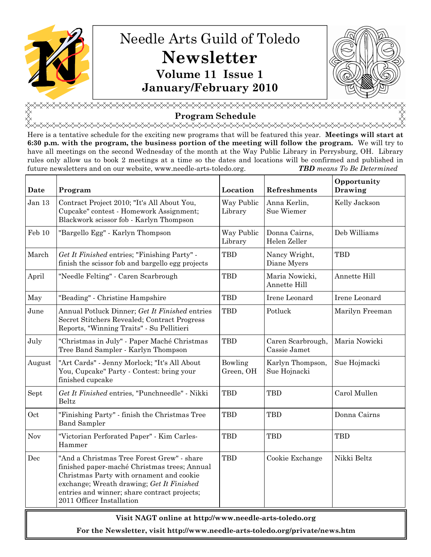

# Needle Arts Guild of Toledo Newsletter Volume 11 Issue 1 January/February 2010



<del></del> Program Schedule

<del></del> Here is a tentative schedule for the exciting new programs that will be featured this year. Meetings will start at 6:30 p.m. with the program, the business portion of the meeting will follow the program. We will try to have all meetings on the second Wednesday of the month at the Way Public Library in Perrysburg, OH. Library rules only allow us to book 2 meetings at a time so the dates and locations will be confirmed and published in future newsletters and on our website, www.needle-arts-toledo.org. TBD means To Be Determined

| Date   | Program                                                                                                                                                                                                                                                          | Location              | <b>Refreshments</b>               | Opportunity<br>Drawing |  |
|--------|------------------------------------------------------------------------------------------------------------------------------------------------------------------------------------------------------------------------------------------------------------------|-----------------------|-----------------------------------|------------------------|--|
| Jan 13 | Contract Project 2010; "It's All About You,<br>Cupcake" contest - Homework Assignment;<br>Blackwork scissor fob - Karlyn Thompson                                                                                                                                | Way Public<br>Library | Anna Kerlin,<br>Sue Wiemer        | Kelly Jackson          |  |
| Feb 10 | "Bargello Egg" - Karlyn Thompson                                                                                                                                                                                                                                 | Way Public<br>Library | Donna Cairns,<br>Helen Zeller     | Deb Williams           |  |
| March  | Get It Finished entries; "Finishing Party" -<br>finish the scissor fob and bargello egg projects                                                                                                                                                                 | <b>TBD</b>            | Nancy Wright,<br>Diane Myers      | <b>TBD</b>             |  |
| April  | "Needle Felting" - Caren Scarbrough                                                                                                                                                                                                                              | <b>TBD</b>            | Maria Nowicki,<br>Annette Hill    | Annette Hill           |  |
| May    | "Beading" - Christine Hampshire                                                                                                                                                                                                                                  | <b>TBD</b>            | Irene Leonard                     | Irene Leonard          |  |
| June   | Annual Potluck Dinner; Get It Finished entries<br>Secret Stitchers Revealed; Contract Progress<br>Reports, "Winning Traits" - Su Pellitieri                                                                                                                      | <b>TBD</b>            | Potluck                           | Marilyn Freeman        |  |
| July   | "Christmas in July" - Paper Maché Christmas<br>Tree Band Sampler - Karlyn Thompson                                                                                                                                                                               | <b>TBD</b>            | Caren Scarbrough,<br>Cassie Jamet | Maria Nowicki          |  |
| August | "Art Cards" - Jenny Morlock; "It's All About<br>You, Cupcake" Party - Contest: bring your<br>finished cupcake                                                                                                                                                    | Bowling<br>Green, OH  | Karlyn Thompson,<br>Sue Hojnacki  | Sue Hojmacki           |  |
| Sept   | Get It Finished entries, "Punchneedle" - Nikki<br>Beltz                                                                                                                                                                                                          | <b>TBD</b>            | <b>TBD</b>                        | Carol Mullen           |  |
| Oct    | "Finishing Party" - finish the Christmas Tree<br><b>Band Sampler</b>                                                                                                                                                                                             | <b>TBD</b>            | <b>TBD</b>                        | Donna Cairns           |  |
| Nov    | "Victorian Perforated Paper" - Kim Carles-<br>Hammer                                                                                                                                                                                                             | <b>TBD</b>            | <b>TBD</b>                        | <b>TBD</b>             |  |
| Dec    | "And a Christmas Tree Forest Grew" - share<br>finished paper-maché Christmas trees; Annual<br>Christmas Party with ornament and cookie<br>exchange; Wreath drawing; Get It Finished<br>entries and winner; share contract projects;<br>2011 Officer Installation | <b>TBD</b>            | Cookie Exchange                   | Nikki Beltz            |  |
|        |                                                                                                                                                                                                                                                                  |                       |                                   |                        |  |

## Visit NAGT online at http://www.needle-arts-toledo.org

For the Newsletter, visit http://www.needle-arts-toledo.org/private/news.htm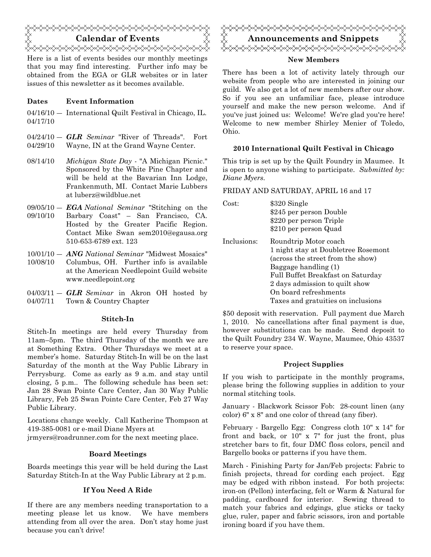

Here is a list of events besides our monthly meetings that you may find interesting. Further info may be obtained from the EGA or GLR websites or in later issues of this newsletter as it becomes available.

#### Dates Event Information

04/16/10 ― International Quilt Festival in Chicago, IL. 04/17/10

- $04/24/10 GLR$  Seminar "River of Threads". Fort 04/29/10 Wayne, IN at the Grand Wayne Center.
- $08/14/10$  Michigan State Day "A Michigan Picnic." Sponsored by the White Pine Chapter and will be held at the Bavarian Inn Lodge, Frankenmuth, MI. Contact Marie Lubbers at luberz@wildblue.net
- $09/05/10 EGA National\quad$  "Stitching on the
- 09/10/10 Barbary Coast" – San Francisco, CA. Hosted by the Greater Pacific Region. Contact Mike Swan sem2010@egausa.org 510-653-6789 ext. 123
- 10/01/10 ANG National Seminar "Midwest Mosaics"
- 10/08/10 Columbus, OH. Further info is available at the American Needlepoint Guild website www.needlepoint.org
- $04/03/11 GLR$  Seminar in Akron OH hosted by 04/07/11 Town & Country Chapter

#### Stitch-In

Stitch-In meetings are held every Thursday from 11am–5pm. The third Thursday of the month we are at Something Extra. Other Thursdays we meet at a member's home. Saturday Stitch-In will be on the last Saturday of the month at the Way Public Library in Perrysburg. Come as early as 9 a.m. and stay until closing, 5 p.m.. The following schedule has been set: Jan 28 Swan Pointe Care Center, Jan 30 Way Public Library, Feb 25 Swan Pointe Care Center, Feb 27 Way Public Library.

Locations change weekly. Call Katherine Thompson at 419-385-0081 or e-mail Diane Myers at

jrmyers@roadrunner.com for the next meeting place.

#### Board Meetings

Boards meetings this year will be held during the Last Saturday Stitch-In at the Way Public Library at 2 p.m.

#### If You Need A Ride

If there are any members needing transportation to a meeting please let us know. We have members attending from all over the area. Don't stay home just because you can't drive!



#### New Members

There has been a lot of activity lately through our website from people who are interested in joining our guild. We also get a lot of new members after our show. So if you see an unfamiliar face, please introduce yourself and make the new person welcome. And if you've just joined us: Welcome! We're glad you're here! Welcome to new member Shirley Menier of Toledo, Ohio.

#### 2010 International Quilt Festival in Chicago

This trip is set up by the Quilt Foundry in Maumee. It is open to anyone wishing to participate. Submitted by: Diane Myers.

#### FRIDAY AND SATURDAY, APRIL 16 and 17

| `det∴       | \$320 Single<br>\$245 per person Double<br>\$220 per person Triple<br>\$210 per person Quad                                                                                                                                                                     |
|-------------|-----------------------------------------------------------------------------------------------------------------------------------------------------------------------------------------------------------------------------------------------------------------|
| Inclusions: | Roundtrip Motor coach<br>1 night stay at Doubletree Rosemont<br>(across the street from the show)<br>Baggage handling (1)<br>Full Buffet Breakfast on Saturday<br>2 days admission to quilt show<br>On board refreshments<br>Taxes and gratuities on inclusions |

\$50 deposit with reservation. Full payment due March 1, 2010. No cancellations after final payment is due, however substitutions can be made. Send deposit to the Quilt Foundry 234 W. Wayne, Maumee, Ohio 43537 to reserve your space.

#### Project Supplies

If you wish to participate in the monthly programs, please bring the following supplies in addition to your normal stitching tools.

January - Blackwork Scissor Fob: 28-count linen (any color) 6" x 8" and one color of thread (any fiber).

February - Bargello Egg: Congress cloth 10" x 14" for front and back, or 10" x 7" for just the front, plus stretcher bars to fit, four DMC floss colors, pencil and Bargello books or patterns if you have them.

March - Finishing Party for Jan/Feb projects: Fabric to finish projects, thread for cording each project. Egg may be edged with ribbon instead. For both projects: iron-on (Pellon) interfacing, felt or Warm & Natural for padding, cardboard for interior. Sewing thread to match your fabrics and edgings, glue sticks or tacky glue, ruler, paper and fabric scissors, iron and portable ironing board if you have them.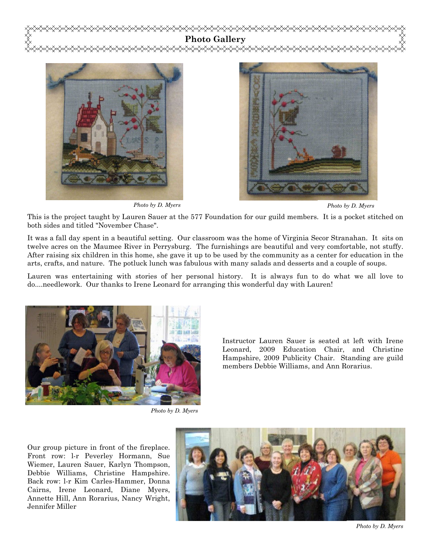



Photo by D. Myers



Photo by D. Myers

This is the project taught by Lauren Sauer at the 577 Foundation for our guild members. It is a pocket stitched on both sides and titled "November Chase".

It was a fall day spent in a beautiful setting. Our classroom was the home of Virginia Secor Stranahan. It sits on twelve acres on the Maumee River in Perrysburg. The furnishings are beautiful and very comfortable, not stuffy. After raising six children in this home, she gave it up to be used by the community as a center for education in the arts, crafts, and nature. The potluck lunch was fabulous with many salads and desserts and a couple of soups.

Lauren was entertaining with stories of her personal history. It is always fun to do what we all love to do....needlework. Our thanks to Irene Leonard for arranging this wonderful day with Lauren!



Photo by D. Myers

Instructor Lauren Sauer is seated at left with Irene Leonard, 2009 Education Chair, and Christine Hampshire, 2009 Publicity Chair. Standing are guild members Debbie Williams, and Ann Rorarius.

Our group picture in front of the fireplace. Front row: l-r Peverley Hormann, Sue Wiemer, Lauren Sauer, Karlyn Thompson, Debbie Williams, Christine Hampshire. Back row: l-r Kim Carles-Hammer, Donna Cairns, Irene Leonard, Diane Myers, Annette Hill, Ann Rorarius, Nancy Wright, Jennifer Miller



Photo by D. Myers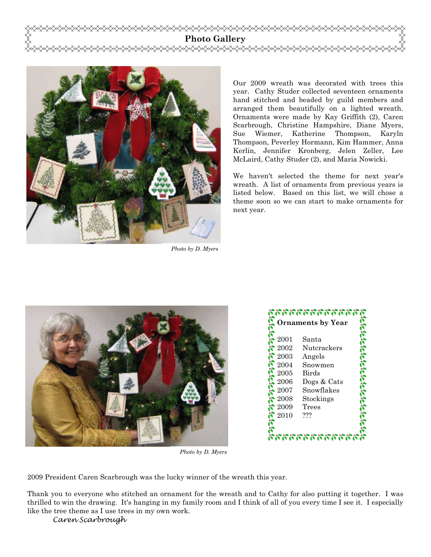



Photo by D. Myers

Our 2009 wreath was decorated with trees this year. Cathy Studer collected seventeen ornaments hand stitched and beaded by guild members and arranged them beautifully on a lighted wreath. Ornaments were made by Kay Griffith (2), Caren Scarbrough, Christine Hampshire, Diane Myers, Sue Wiemer, Katherine Thompson, Karyln Thompson, Peverley Hormann, Kim Hammer, Anna Kerlin, Jennifer Kronberg, Jelen Zeller, Lee McLaird, Cathy Studer (2), and Maria Nowicki.

We haven't selected the theme for next year's wreath. A list of ornaments from previous years is listed below. Based on this list, we will chose a theme soon so we can start to make ornaments for next year.





Photo by D. Myers

2009 President Caren Scarbrough was the lucky winner of the wreath this year.

Thank you to everyone who stitched an ornament for the wreath and to Cathy for also putting it together. I was thrilled to win the drawing. It's hanging in my family room and I think of all of you every time I see it. I especially like the tree theme as I use trees in my own work.

Caren Scarbrough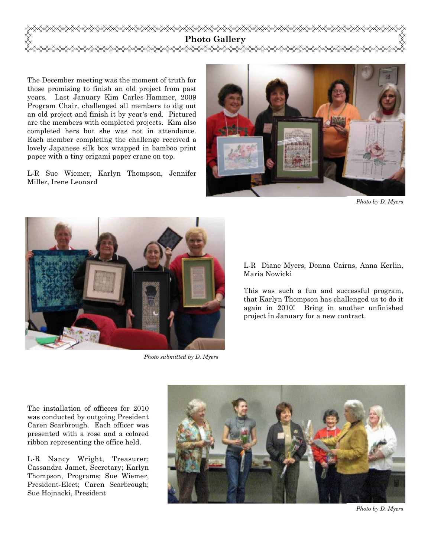

The December meeting was the moment of truth for those promising to finish an old project from past years. Last January Kim Carles-Hammer, 2009 Program Chair, challenged all members to dig out an old project and finish it by year's end. Pictured are the members with completed projects. Kim also completed hers but she was not in attendance. Each member completing the challenge received a lovely Japanese silk box wrapped in bamboo print paper with a tiny origami paper crane on top.

L-R Sue Wiemer, Karlyn Thompson, Jennifer Miller, Irene Leonard



Photo by D. Myers



Photo submitted by D. Myers

L-R Diane Myers, Donna Cairns, Anna Kerlin, Maria Nowicki

This was such a fun and successful program, that Karlyn Thompson has challenged us to do it again in 2010! Bring in another unfinished project in January for a new contract.

The installation of officers for 2010 was conducted by outgoing President Caren Scarbrough. Each officer was presented with a rose and a colored ribbon representing the office held.

L-R Nancy Wright, Treasurer; Cassandra Jamet, Secretary; Karlyn Thompson, Programs; Sue Wiemer, President-Elect; Caren Scarbrough; Sue Hojnacki, President



Photo by D. Myers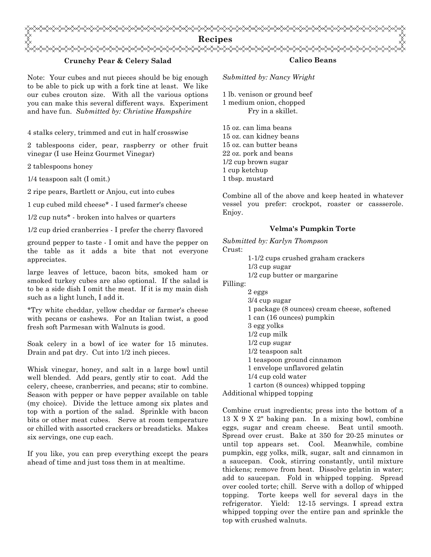

#### Crunchy Pear & Celery Salad

Note: Your cubes and nut pieces should be big enough to be able to pick up with a fork tine at least. We like our cubes crouton size. With all the various options you can make this several different ways. Experiment and have fun. Submitted by: Christine Hampshire

4 stalks celery, trimmed and cut in half crosswise

2 tablespoons cider, pear, raspberry or other fruit vinegar (I use Heinz Gourmet Vinegar)

2 tablespoons honey

1/4 teaspoon salt (I omit.)

2 ripe pears, Bartlett or Anjou, cut into cubes

1 cup cubed mild cheese\* - I used farmer's cheese

1/2 cup nuts\* - broken into halves or quarters

1/2 cup dried cranberries - I prefer the cherry flavored

ground pepper to taste - I omit and have the pepper on the table as it adds a bite that not everyone appreciates.

large leaves of lettuce, bacon bits, smoked ham or smoked turkey cubes are also optional. If the salad is to be a side dish I omit the meat. If it is my main dish such as a light lunch, I add it.

\*Try white cheddar, yellow cheddar or farmer's cheese with pecans or cashews. For an Italian twist, a good fresh soft Parmesan with Walnuts is good.

Soak celery in a bowl of ice water for 15 minutes. Drain and pat dry. Cut into 1/2 inch pieces.

Whisk vinegar, honey, and salt in a large bowl until well blended. Add pears, gently stir to coat. Add the celery, cheese, cranberries, and pecans; stir to combine. Season with pepper or have pepper available on table (my choice). Divide the lettuce among six plates and top with a portion of the salad. Sprinkle with bacon bits or other meat cubes. Serve at room temperature or chilled with assorted crackers or breadsticks. Makes six servings, one cup each.

If you like, you can prep everything except the pears ahead of time and just toss them in at mealtime.

### Calico Beans

Submitted by: Nancy Wright

1 lb. venison or ground beef 1 medium onion, chopped Fry in a skillet.

15 oz. can lima beans 15 oz. can kidney beans 15 oz. can butter beans 22 oz. pork and beans 1/2 cup brown sugar 1 cup ketchup 1 tbsp. mustard

Combine all of the above and keep heated in whatever vessel you prefer: crockpot, roaster or cassserole. Enjoy.

#### Velma's Pumpkin Torte

Submitted by: Karlyn Thompson Crust: 1-1/2 cups crushed graham crackers 1/3 cup sugar

1/2 cup butter or margarine

Filling:

 2 eggs 3/4 cup sugar 1 package (8 ounces) cream cheese, softened 1 can (16 ounces) pumpkin 3 egg yolks 1/2 cup milk 1/2 cup sugar 1/2 teaspoon salt 1 teaspoon ground cinnamon 1 envelope unflavored gelatin 1/4 cup cold water 1 carton (8 ounces) whipped topping

Additional whipped topping

Combine crust ingredients; press into the bottom of a 13 X 9 X 2" baking pan. In a mixing bowl, combine eggs, sugar and cream cheese. Beat until smooth. Spread over crust. Bake at 350 for 20-25 minutes or until top appears set. Cool. Meanwhile, combine pumpkin, egg yolks, milk, sugar, salt and cinnamon in a saucepan. Cook, stirring constantly, until mixture thickens; remove from heat. Dissolve gelatin in water; add to saucepan. Fold in whipped topping. Spread over cooled torte; chill. Serve with a dollop of whipped topping. Torte keeps well for several days in the refrigerator. Yield: 12-15 servings. I spread extra whipped topping over the entire pan and sprinkle the top with crushed walnuts.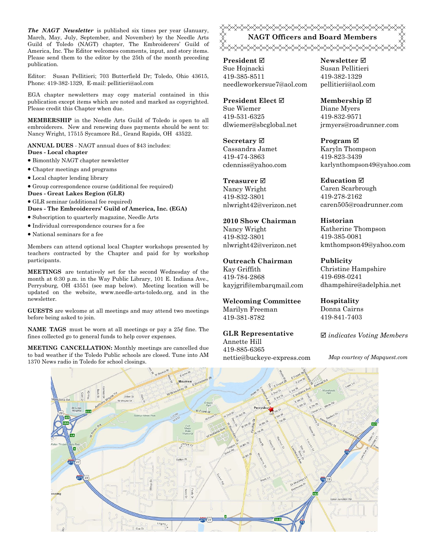The NAGT Newsletter is published six times per year (January, March, May, July, September, and November) by the Needle Arts Guild of Toledo (NAGT) chapter, The Embroiderers' Guild of America, Inc. The Editor welcomes comments, input, and story items. Please send them to the editor by the 25th of the month preceding publication.

Editor: Susan Pellitieri; 703 Butterfield Dr; Toledo, Ohio 43615, Phone: 419-382-1329, E-mail: pellitieri@aol.com

EGA chapter newsletters may copy material contained in this publication except items which are noted and marked as copyrighted. Please credit this Chapter when due.

MEMBERSHIP in the Needle Arts Guild of Toledo is open to all embroiderers. New and renewing dues payments should be sent to: Nancy Wright, 17515 Sycamore Rd., Grand Rapids, OH 43522.

ANNUAL DUES - NAGT annual dues of \$43 includes: Dues - Local chapter

- Bimonthly NAGT chapter newsletter
- Chapter meetings and programs
- Local chapter lending library
- Group correspondence course (additional fee required)
- Dues Great Lakes Region (GLR)
- GLR seminar (additional fee required)

Dues - The Embroiderers' Guild of America, Inc. (EGA)

- Subscription to quarterly magazine, Needle Arts
- Individual correspondence courses for a fee
- National seminars for a fee

Members can attend optional local Chapter workshops presented by teachers contracted by the Chapter and paid for by workshop participants.

MEETINGS are tentatively set for the second Wednesday of the month at 6:30 p.m. in the Way Public Library, 101 E. Indiana Ave., Perrysburg, OH 43551 (see map below). Meeting location will be updated on the website, www.needle-arts-toledo.org, and in the newsletter.

GUESTS are welcome at all meetings and may attend two meetings before being asked to join.

**NAME TAGS** must be worn at all meetings or pay a  $25¢$  fine. The fines collected go to general funds to help cover expenses.

MEETING CANCELLATION: Monthly meetings are cancelled due to bad weather if the Toledo Public schools are closed. Tune into AM 1370 News radio in Toledo for school closings.

<del></del> NAGT Officers and Board Members </del>

President ⊠ Sue Hojnacki 419-385-8511 needleworkersue7@aol.com

President Elect Ø Sue Wiemer 419-531-6325 dlwiemer@sbcglobal.net

Secretary  $\boxtimes$ Cassandra Jamet 419-474-3863 cdenniss@yahoo.com

Treasurer<sub> $⊓$ </sub> Nancy Wright 419-832-3801 nlwright42@verizon.net

2010 Show Chairman Nancy Wright 419-832-3801 nlwright42@verizon.net

Outreach Chairman Kay Griffith 419-784-2868 kayjgrif@embarqmail.com

Welcoming Committee Marilyn Freeman 419-381-8782

GLR Representative Annette Hill 419-885-6365 nettie@buckeye-express.com Newsletter **Ø** Susan Pellitieri 419-382-1329 pellitieri@aol.com

Membership ⊠ Diane Myers 419-832-9571 jrmyers@roadrunner.com

Program **⊠** Karyln Thompson 419-823-3439 karlynthompson49@yahoo.com

**Education** ⊠ Caren Scarbrough 419-278-2162 caren505@roadrunner.com

Historian Katherine Thompson 419-385-0081 kmthompson49@yahoo.com

Publicity Christine Hampshire 419-698-0241 dhampshire@adelphia.net

Hospitality Donna Cairns 419-841-7403

 $\boxtimes$  indicates Voting Members

Map courtesy of Mapquest.com